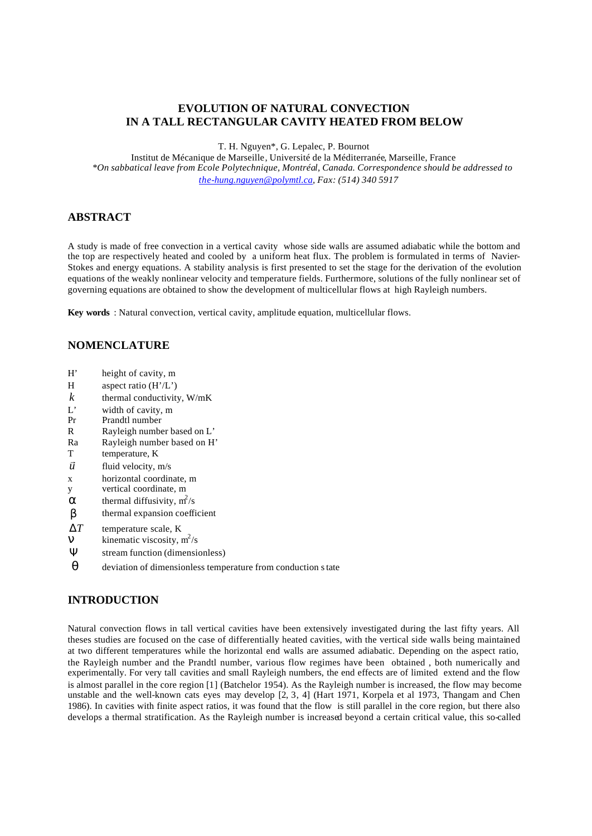# **EVOLUTION OF NATURAL CONVECTION IN A TALL RECTANGULAR CAVITY HEATED FROM BELOW**

T. H. Nguyen\*, G. Lepalec, P. Bournot

Institut de Mécanique de Marseille, Université de la Méditerranée, Marseille, France *\*On sabbatical leave from Ecole Polytechnique, Montréal, Canada. Correspondence should be addressed to the-hung.nguyen@polymtl.ca, Fax: (514) 340 5917*

## **ABSTRACT**

A study is made of free convection in a vertical cavity whose side walls are assumed adiabatic while the bottom and the top are respectively heated and cooled by a uniform heat flux. The problem is formulated in terms of Navier-Stokes and energy equations. A stability analysis is first presented to set the stage for the derivation of the evolution equations of the weakly nonlinear velocity and temperature fields. Furthermore, solutions of the fully nonlinear set of governing equations are obtained to show the development of multicellular flows at high Rayleigh numbers.

**Key words** : Natural convection, vertical cavity, amplitude equation, multicellular flows.

## **NOMENCLATURE**

- H' height of cavity, m
- H aspect ratio (H'/L')
- $k$  thermal conductivity,  $W/mK$
- L' width of cavity, m
- Pr Prandtl number
- R Rayleigh number based on L'
- Ra Rayleigh number based on H'
- T temperature, K
- *u* r fluid velocity, m/s
- x horizontal coordinate, m
- y vertical coordinate, m
- $\mathbf{\hat{a}}$  thermal diffusivity,  $\mathbf{m}^2/\mathbf{s}$
- *b* thermal expansion coefficient
- Δ*T* temperature scale, K
- $\vec{n}$  kinematic viscosity,  $m^2/s$
- Ψ stream function (dimensionless)
- *q* deviation of dimensionless temperature from conduction state

# **INTRODUCTION**

Natural convection flows in tall vertical cavities have been extensively investigated during the last fifty years. All theses studies are focused on the case of differentially heated cavities, with the vertical side walls being maintained at two different temperatures while the horizontal end walls are assumed adiabatic. Depending on the aspect ratio, the Rayleigh number and the Prandtl number, various flow regimes have been obtained , both numerically and experimentally. For very tall cavities and small Rayleigh numbers, the end effects are of limited extend and the flow is almost parallel in the core region [1] (Batchelor 1954). As the Rayleigh number is increased, the flow may become unstable and the well-known cats eyes may develop [2, 3, 4] (Hart 1971, Korpela et al 1973, Thangam and Chen 1986). In cavities with finite aspect ratios, it was found that the flow is still parallel in the core region, but there also develops a thermal stratification. As the Rayleigh number is increased beyond a certain critical value, this so-called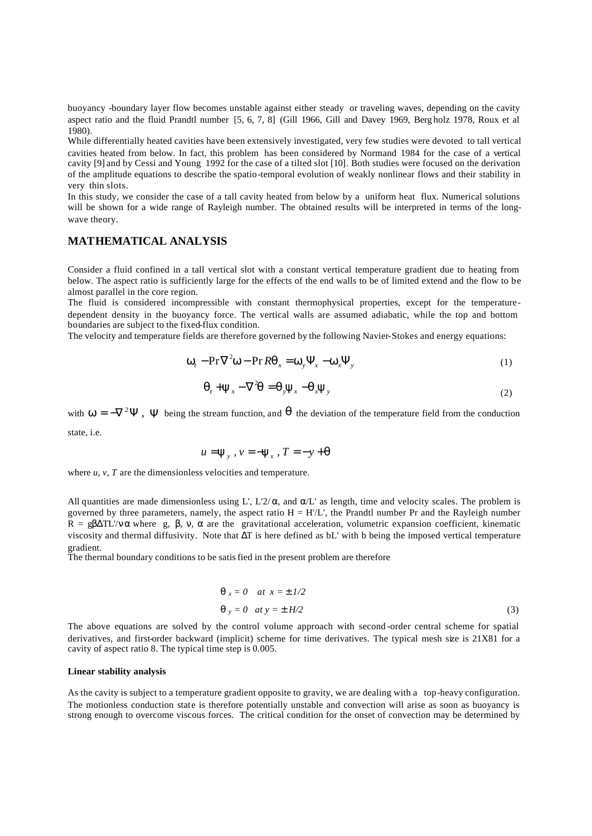buoyancy -boundary layer flow becomes unstable against either steady or traveling waves, depending on the cavity aspect ratio and the fluid Prandtl number [5, 6, 7, 8] (Gill 1966, Gill and Davey 1969, Berg holz 1978, Roux et al 1980).

While differentially heated cavities have been extensively investigated, very few studies were devoted to tall vertical cavities heated from below. In fact, this problem has been considered by Normand 1984 for the case of a vertical cavity [9] and by Cessi and Young 1992 for the case of a tilted slot [10]. Both studies were focused on the derivation of the amplitude equations to describe the spatio-temporal evolution of weakly nonlinear flows and their stability in very thin slots.

In this study, we consider the case of a tall cavity heated from below by a uniform heat flux. Numerical solutions will be shown for a wide range of Rayleigh number. The obtained results will be interpreted in terms of the longwave theory.

### **MATHEMATICAL ANALYSIS**

Consider a fluid confined in a tall vertical slot with a constant vertical temperature gradient due to heating from below. The aspect ratio is sufficiently large for the effects of the end walls to be of limited extend and the flow to be almost parallel in the core region.

The fluid is considered incompressible with constant thermophysical properties, except for the temperaturedependent density in the buoyancy force. The vertical walls are assumed adiabatic, while the top and bottom boundaries are subject to the fixed-flux condition.

The velocity and temperature fields are therefore governed by the following Navier-Stokes and energy equations:

$$
\mathbf{w}_t - \mathbf{Pr}\nabla^2 \mathbf{w} - \mathbf{Pr}\, \mathbf{R} \mathbf{q}_x = \mathbf{w}_y \mathbf{Y}_x - \mathbf{w}_x \mathbf{Y}_y \tag{1}
$$

$$
\boldsymbol{q}_t + \mathbf{y}_x - \nabla^2 \boldsymbol{q} = \boldsymbol{q}_y \mathbf{y}_x - \boldsymbol{q}_x \mathbf{y}_y \tag{2}
$$

with  $w = -\nabla^2 \Psi$ ,  $\Psi$  being the stream function, and **q** the deviation of the temperature field from the conduction state, i.e.

$$
u = \mathbf{y}_{y}, v = -\mathbf{y}_{x}, T = -y + \mathbf{q}
$$

where *u*, *v*, *T* are the dimensionless velocities and temperature.

All quantities are made dimensionless using L', L'2/ $\alpha$ , and  $\alpha/L$ ' as length, time and velocity scales. The problem is governed by three parameters, namely, the aspect ratio  $H = H/L'$ , the Prandtl number Pr and the Rayleigh number R =  $\beta\Delta T L'/v \alpha$  where g, β, ν, α are the gravitational acceleration, volumetric expansion coefficient, kinematic viscosity and thermal diffusivity. Note that  $\Delta T$  is here defined as bL' with b being the imposed vertical temperature gradient.

The thermal boundary conditions to be satisfied in the present problem are therefore

$$
\mathbf{q} \vert_x = 0 \quad at \quad x = \pm \frac{1}{2}
$$
\n
$$
\mathbf{q} \vert_y = 0 \quad at \quad y = \pm \frac{H}{2} \tag{3}
$$

The above equations are solved by the control volume approach with second -order central scheme for spatial derivatives, and first-order backward (implicit) scheme for time derivatives. The typical mesh size is 21X81 for a cavity of aspect ratio 8. The typical time step is 0.005.

#### **Linear stability analysis**

As the cavity is subject to a temperature gradient opposite to gravity, we are dealing with a top-heavy configuration. The motionless conduction state is therefore potentially unstable and convection will arise as soon as buoyancy is strong enough to overcome viscous forces. The critical condition for the onset of convection may be determined by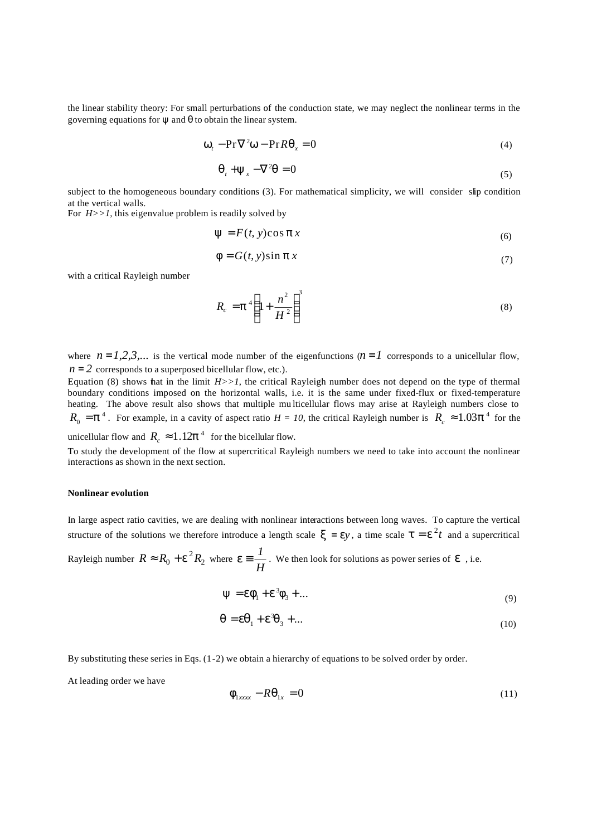the linear stability theory: For small perturbations of the conduction state, we may neglect the nonlinear terms in the governing equations for  $\psi$  and  $\theta$  to obtain the linear system.

$$
\mathbf{w}_t - \mathbf{Pr}\nabla^2 \mathbf{w} - \mathbf{Pr} \mathbf{R} \mathbf{q}_x = 0 \tag{4}
$$

$$
\boldsymbol{q}_t + \mathbf{y}_x - \nabla^2 \boldsymbol{q} = 0 \tag{5}
$$

subject to the homogeneous boundary conditions (3). For mathematical simplicity, we will consider slip condition at the vertical walls.

For  $H>>1$ , this eigenvalue problem is readily solved by

$$
y = F(t, y)\cos px \tag{6}
$$

$$
\mathbf{f} = G(t, y)\sin \mathbf{p} \, x \tag{7}
$$

with a critical Rayleigh number

$$
R_c = \boldsymbol{p}^4 \left( 1 + \frac{n^2}{H^2} \right)^3 \tag{8}
$$

where  $n = 1, 2, 3, ...$  is the vertical mode number of the eigenfunctions  $(n = 1)$  corresponds to a unicellular flow,  $n = 2$  corresponds to a superposed bicellular flow, etc.).

Equation (8) shows that in the limit  $H>>1$ , the critical Rayleigh number does not depend on the type of thermal boundary conditions imposed on the horizontal walls, i.e. it is the same under fixed-flux or fixed-temperature heating. The above result also shows that multiple mu lticellular flows may arise at Rayleigh numbers close to  $R_0 = p^4$ . For example, in a cavity of aspect ratio  $H = 10$ , the critical Rayleigh number is  $R_c \approx 1.03 p^4$  for the unicellular flow and  $R_c \approx 1.12p^4$  for the bicellular flow.

To study the development of the flow at supercritical Rayleigh numbers we need to take into account the nonlinear interactions as shown in the next section.

### **Nonlinear evolution**

In large aspect ratio cavities, we are dealing with nonlinear interactions between long waves. To capture the vertical structure of the solutions we therefore introduce a length scale  $\mathbf{x} = \mathbf{e}y$ , a time scale  $\mathbf{t} = \mathbf{e}^2 t$  and a supercritical

Rayleigh number  $R \approx R_0 + e^2 R_2$  where  $e \equiv \frac{I}{H}$  $e \equiv \frac{1}{\epsilon}$ . We then look for solutions as power series of *e*, i.e.

$$
\mathbf{y} = \mathbf{e}\mathbf{f}_1 + \mathbf{e}^3 \mathbf{f}_3 + \dots \tag{9}
$$

$$
\boldsymbol{q} = \boldsymbol{e}\boldsymbol{q}_1 + \boldsymbol{e}^3\boldsymbol{q}_3 + \dots \tag{10}
$$

By substituting these series in Eqs. (1-2) we obtain a hierarchy of equations to be solved order by order.

At leading order we have

$$
\boldsymbol{f}_{1\text{xxxx}} - R\boldsymbol{q}_{1x} = 0 \tag{11}
$$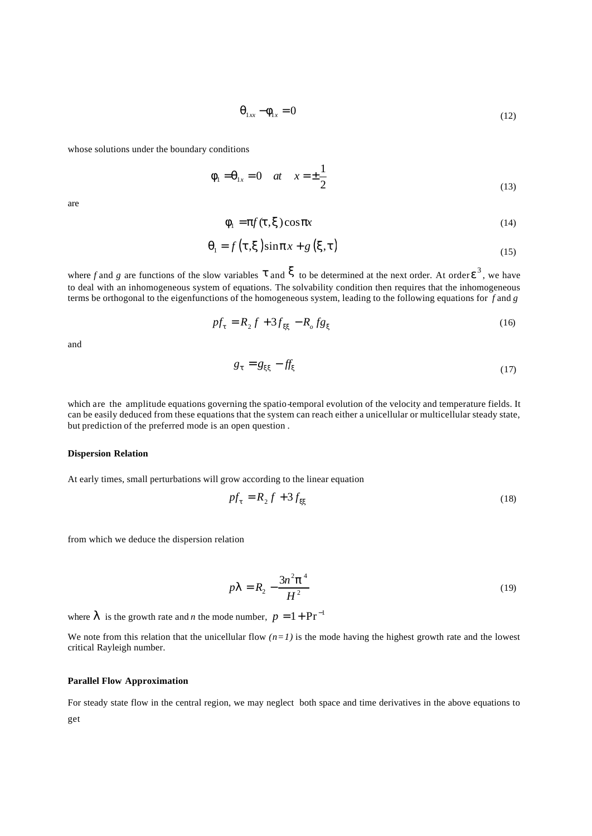$$
\boldsymbol{q}_{1xx} - \boldsymbol{f}_{1x} = 0 \tag{12}
$$

whose solutions under the boundary conditions

$$
f_1 = q_{1x} = 0 \quad at \quad x = \pm \frac{1}{2}
$$
 (13)

are

$$
\mathbf{f}_1 = \mathbf{p} f(\mathbf{t}, \mathbf{x}) \cos \mathbf{p} x \tag{14}
$$

$$
\boldsymbol{q}_1 = f(\boldsymbol{t}, \boldsymbol{x}) \sin \boldsymbol{p} x + g(\boldsymbol{x}, \boldsymbol{t}) \tag{15}
$$

where *f* and *g* are functions of the slow variables  $t$  and  $\bf{x}$  to be determined at the next order. At order  $e^3$ , we have to deal with an inhomogeneous system of equations. The solvability condition then requires that the inhomogeneous terms be orthogonal to the eigenfunctions of the homogeneous system, leading to the following equations for *f* and *g* 

$$
pf_t = R_2 f + 3f_{xx} - R_0 f g_x \tag{16}
$$

and

$$
g_t = g_{xx} - f f_x \tag{17}
$$

which are the amplitude equations governing the spatio-temporal evolution of the velocity and temperature fields. It can be easily deduced from these equations that the system can reach either a unicellular or multicellular steady state, but prediction of the preferred mode is an open question .

#### **Dispersion Relation**

At early times, small perturbations will grow according to the linear equation

$$
pf_t = R_2 f + 3f_{xx} \tag{18}
$$

from which we deduce the dispersion relation

$$
pI = R_2 - \frac{3n^2 p^4}{H^2}
$$
 (19)

where  $\bf{l}$  is the growth rate and *n* the mode number,  $p = 1 + Pr^{-1}$ 

We note from this relation that the unicellular flow  $(n=1)$  is the mode having the highest growth rate and the lowest critical Rayleigh number.

### **Parallel Flow Approximation**

For steady state flow in the central region, we may neglect both space and time derivatives in the above equations to get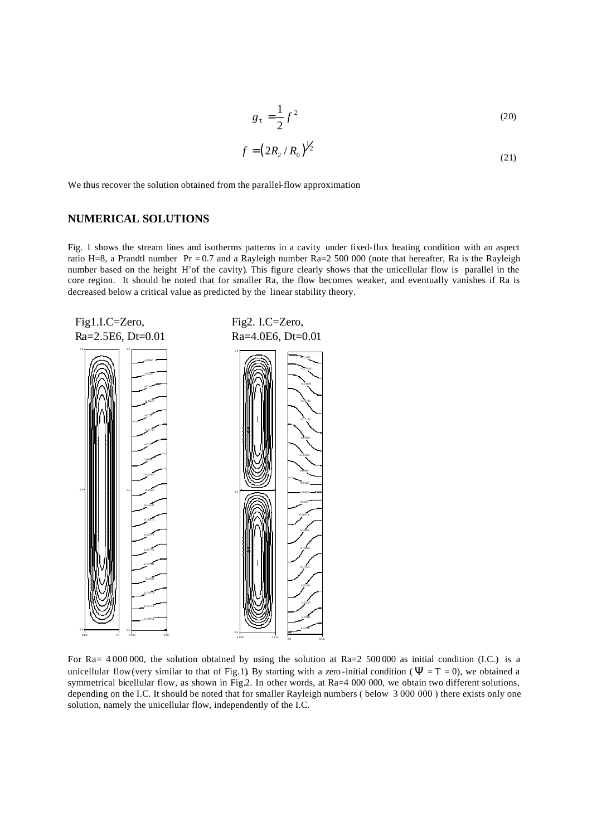$$
g_t = \frac{1}{2}f^2\tag{20}
$$

$$
f = (2R_2/R_0)^{\frac{1}{2}}
$$
 (21)

We thus recover the solution obtained from the parallel-flow approximation

### **NUMERICAL SOLUTIONS**

Fig. 1 shows the stream lines and isotherms patterns in a cavity under fixed-flux heating condition with an aspect ratio H=8, a Prandtl number  $Pr = 0.7$  and a Rayleigh number  $Ra = 2500000$  (note that hereafter, Ra is the Rayleigh number based on the height H'of the cavity). This figure clearly shows that the unicellular flow is parallel in the core region. It should be noted that for smaller Ra, the flow becomes weaker, and eventually vanishes if Ra is decreased below a critical value as predicted by the linear stability theory.



For Ra= 4 000 000, the solution obtained by using the solution at Ra=2 500 000 as initial condition (I.C.) is a unicellular flow (very similar to that of Fig.1). By starting with a zero-initial condition ( $\Psi = T = 0$ ), we obtained a symmetrical bicellular flow, as shown in Fig.2. In other words, at Ra=4 000 000, we obtain two different solutions, depending on the I.C. It should be noted that for smaller Rayleigh numbers ( below 3 000 000 ) there exists only one solution, namely the unicellular flow, independently of the I.C.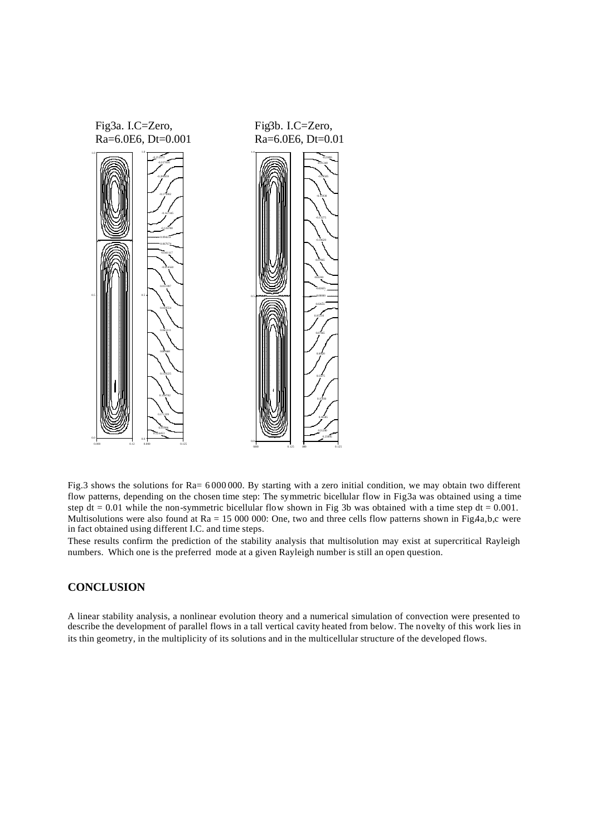

Fig.3 shows the solutions for Ra= 6 000 000. By starting with a zero initial condition, we may obtain two different flow patterns, depending on the chosen time step: The symmetric bicellular flow in Fig.3a was obtained using a time step dt =  $0.01$  while the non-symmetric bicellular flow shown in Fig 3b was obtained with a time step dt =  $0.001$ . Multisolutions were also found at  $Ra = 15 000 000$ : One, two and three cells flow patterns shown in Fig.4a,b,c were in fact obtained using different I.C. and time steps.

These results confirm the prediction of the stability analysis that multisolution may exist at supercritical Rayleigh numbers. Which one is the preferred mode at a given Rayleigh number is still an open question.

## **CONCLUSION**

A linear stability analysis, a nonlinear evolution theory and a numerical simulation of convection were presented to describe the development of parallel flows in a tall vertical cavity heated from below. The novelty of this work lies in its thin geometry, in the multiplicity of its solutions and in the multicellular structure of the developed flows.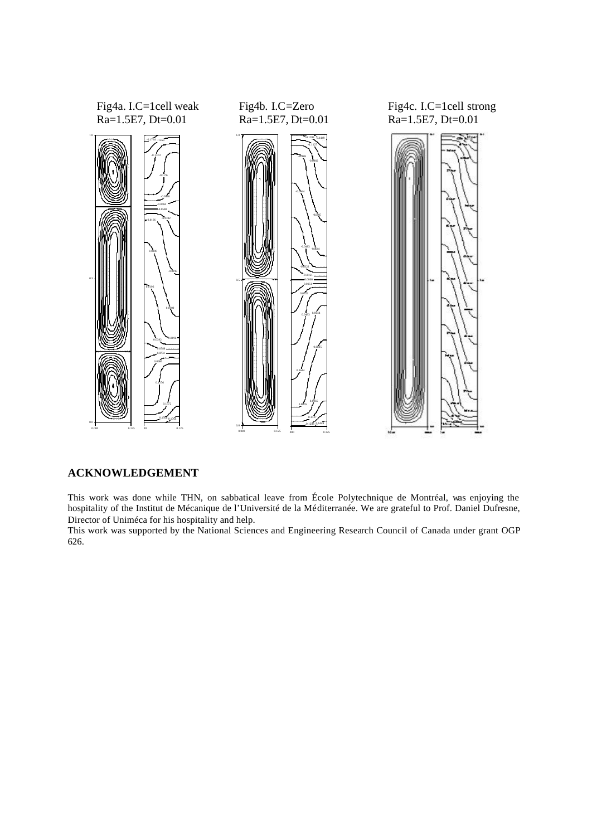

## **ACKNOWLEDGEMENT**

This work was done while THN, on sabbatical leave from École Polytechnique de Montréal, was enjoying the hospitality of the Institut de Mécanique de l'Université de la Méditerranée. We are grateful to Prof. Daniel Dufresne, Director of Uniméca for his hospitality and help.

This work was supported by the National Sciences and Engineering Research Council of Canada under grant OGP 626.